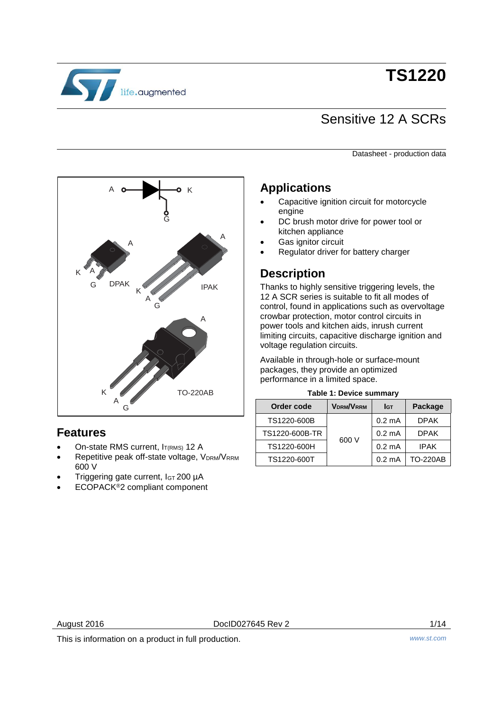

# **TS1220**

## Sensitive 12 A SCRs

Datasheet - production data



### **Features**

- On-state RMS current, IT(RMS) 12 A
- Repetitive peak off-state voltage, VDRM/VRRM 600 V
- Triggering gate current, I<sub>GT</sub> 200 µA
- ECOPACK®2 compliant component

### **Applications**

- Capacitive ignition circuit for motorcycle engine
- DC brush motor drive for power tool or kitchen appliance
- Gas ignitor circuit
- Regulator driver for battery charger

### **Description**

Thanks to highly sensitive triggering levels, the 12 A SCR series is suitable to fit all modes of control, found in applications such as overvoltage crowbar protection, motor control circuits in power tools and kitchen aids, inrush current limiting circuits, capacitive discharge ignition and voltage regulation circuits.

Available in through-hole or surface-mount packages, they provide an optimized performance in a limited space.

|  |  |  | Table 1: Device summary |  |
|--|--|--|-------------------------|--|
|--|--|--|-------------------------|--|

<span id="page-0-0"></span>

| Order code     | <b>VDRM/VRRM</b> | Iст              | Package         |
|----------------|------------------|------------------|-----------------|
| TS1220-600B    |                  | $0.2 \text{ mA}$ | <b>DPAK</b>     |
| TS1220-600B-TR |                  | $0.2 \text{ mA}$ | <b>DPAK</b>     |
| TS1220-600H    | 600 V            | $0.2 \text{ mA}$ | <b>IPAK</b>     |
| TS1220-600T    |                  | $0.2 \text{ mA}$ | <b>TO-220AB</b> |

August 2016 **DoclD027645 Rev 2 DoclD027645 Rev 2** 1/14

This is information on a product in full production. *www.st.com*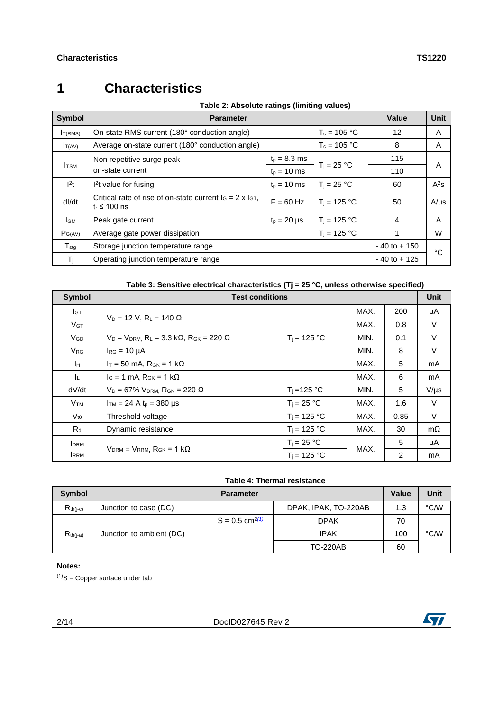### **1 Characteristics**

| Table 2: Absolute ratings (limiting values) |  |  |
|---------------------------------------------|--|--|
|                                             |  |  |

| <b>Symbol</b>                    | <b>Parameter</b>                                                                         |                  | Value          | <b>Unit</b> |           |
|----------------------------------|------------------------------------------------------------------------------------------|------------------|----------------|-------------|-----------|
| T(RMS)                           | On-state RMS current (180° conduction angle)                                             |                  | $T_c = 105 °C$ | 12          | A         |
| $I_{T(AV)}$                      | Average on-state current (180° conduction angle)                                         |                  | $T_c = 105 °C$ | 8           | A         |
|                                  | Non repetitive surge peak                                                                | $t_{p} = 8.3$ ms |                | 115         |           |
| <b>I</b> TSM<br>on-state current |                                                                                          | $t_{p} = 10$ ms  | $T_i = 25 °C$  | 110         | A         |
| 1 <sup>2</sup> t                 | $12t$ value for fusing                                                                   | $t_{p} = 10$ ms  | $T_i = 25 °C$  | 60          | $A^2S$    |
| dl/dt                            | Critical rate of rise of on-state current $I_G = 2 \times I_{GT}$ .<br>$t_r \leq 100$ ns | $F = 60$ Hz      | $T_i = 125 °C$ | 50          | $A/\mu s$ |
| I <sub>GM</sub>                  | Peak gate current                                                                        | $t_p = 20 \mu s$ | $T_i = 125 °C$ | 4           | A         |
| $P_{G(AV)}$                      | $T_i = 125 °C$<br>Average gate power dissipation                                         |                  |                |             | W         |
| ${\sf T}_{\sf stg}$              | Storage junction temperature range                                                       | $-40$ to $+150$  | °C             |             |           |
| Tj.                              | Operating junction temperature range                                                     | $-40$ to $+125$  |                |             |           |

#### **Table 3: Sensitive electrical characteristics (Tj = 25 °C, unless otherwise specified)**

| <b>Symbol</b>          | <b>Test conditions</b>                                                             |                |      |                |           |  |
|------------------------|------------------------------------------------------------------------------------|----------------|------|----------------|-----------|--|
| Iст                    |                                                                                    |                | MAX. | 200            | μA        |  |
| $V$ GT                 | $V_D = 12 V$ , $R_L = 140 \Omega$                                                  |                | MAX. | 0.8            | $\vee$    |  |
| <b>V<sub>GD</sub></b>  | $V_D = V_{DRM}$ , R <sub>L</sub> = 3.3 k $\Omega$ , R <sub>GK</sub> = 220 $\Omega$ | $T_i = 125 °C$ | MIN. | 0.1            | V         |  |
| $V_{RG}$               | $I_{RG}$ = 10 $\mu$ A                                                              |                | MIN. | 8              | V         |  |
| Iн                     | $I_T = 50$ mA, $R_{GK} = 1$ k $\Omega$<br>MAX.                                     |                |      |                | mA        |  |
| ΙL.                    | $I_G = 1$ mA, $R_{GK} = 1$ k $\Omega$                                              |                | MAX. | 6              | mA        |  |
| dV/dt                  | $V_D = 67\% V_{DRM}$ , R <sub>GK</sub> = 220 $\Omega$                              | $T_i = 125$ °C | MIN. | 5              | $V/\mu s$ |  |
| <b>V</b> <sub>TM</sub> | $I_{TM}$ = 24 A t <sub>p</sub> = 380 µs                                            | $T_i = 25 °C$  | MAX. | 1.6            | V         |  |
| $V_{t0}$               | Threshold voltage                                                                  | $T_i = 125 °C$ | MAX. | 0.85           | V         |  |
| $R_d$                  | Dynamic resistance                                                                 | $T_i = 125 °C$ | MAX. | 30             | $m\Omega$ |  |
| <b>I</b> DRM           |                                                                                    | $T_i = 25 °C$  |      | 5              | μA        |  |
| <b>IRRM</b>            | $V_{DRM} = V_{RRM}$ , $R_{GK} = 1 k\Omega$                                         | $T_i = 125 °C$ | MAX. | $\overline{2}$ | mA        |  |

#### **Table 4: Thermal resistance**

| <b>Symbol</b> |                          | <b>Parameter</b>             |                      |     |      |
|---------------|--------------------------|------------------------------|----------------------|-----|------|
| $R_{th(i-c)}$ | Junction to case (DC)    |                              | DPAK, IPAK, TO-220AB | 1.3 | °C/W |
|               |                          | $S = 0.5$ cm <sup>2(1)</sup> | <b>DPAK</b>          | 70  |      |
| $R_{th(j-a)}$ | Junction to ambient (DC) |                              | <b>IPAK</b>          | 100 | °C/W |
|               |                          |                              | <b>TO-220AB</b>      | 60  |      |

#### **Notes:**

<span id="page-1-0"></span> $(1)$ S = Copper surface under tab

2/14 DocID027645 Rev 2

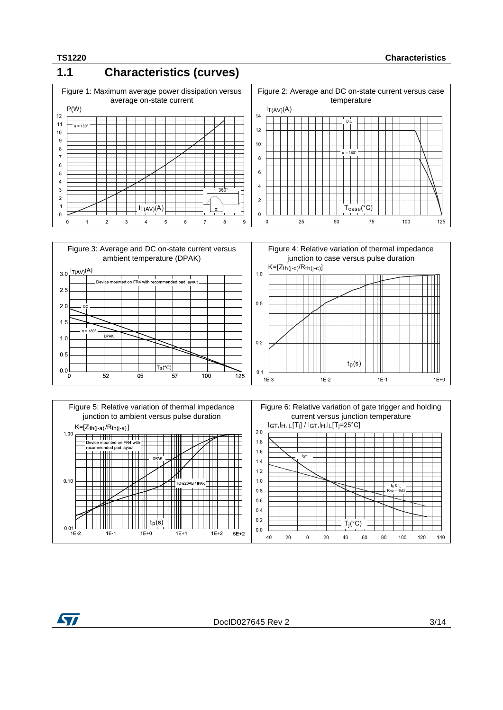### **1.1 Characteristics (curves)**







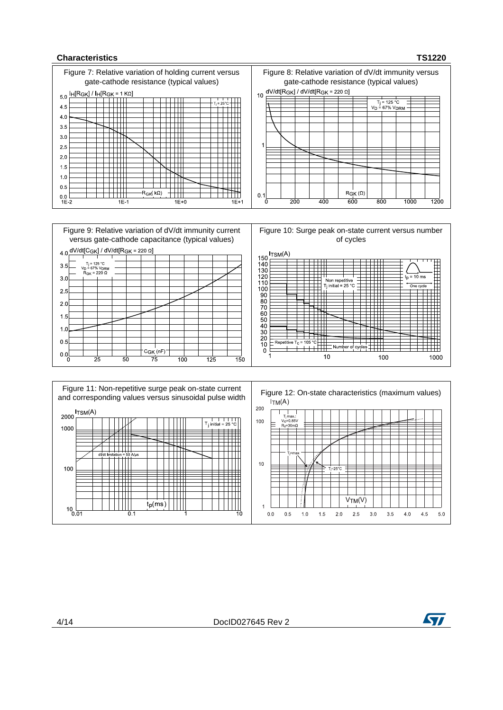#### **Characteristics TS1220**



 $0.0$  $0.5$  1.5  $2.0$  $2.5$ 

 $1.0$ 

 $3.0$ 

 $3.5$ 

 $4.0$ 



4.5 5.0

 $\overline{0.1}$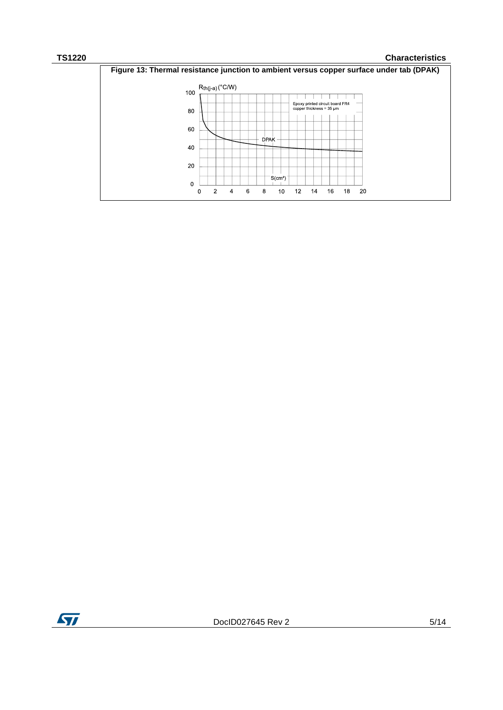#### **TS1220 Characteristics**



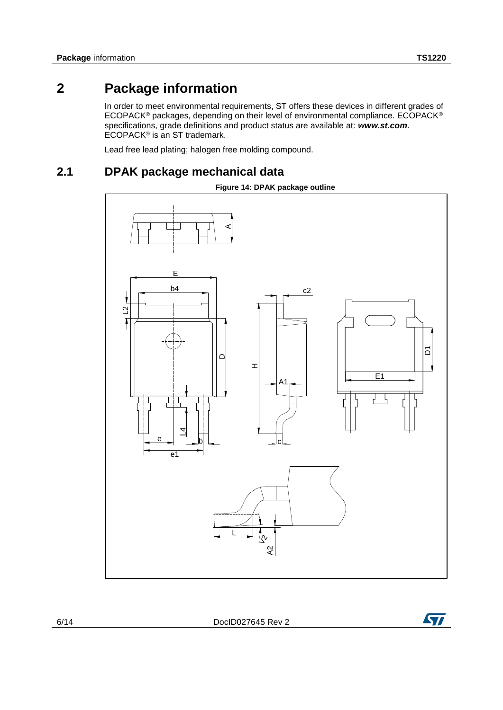### **2 Package information**

<span id="page-5-0"></span>In order to meet environmental requirements, ST offers these devices in different grades of ECOPACK® packages, depending on their level of environmental compliance. ECOPACK® specifications, grade definitions and product status are available at: *www.st.com*. ECOPACK® is an ST trademark.

Lead free lead plating; halogen free molding compound.

### **2.1 DPAK package mechanical data**



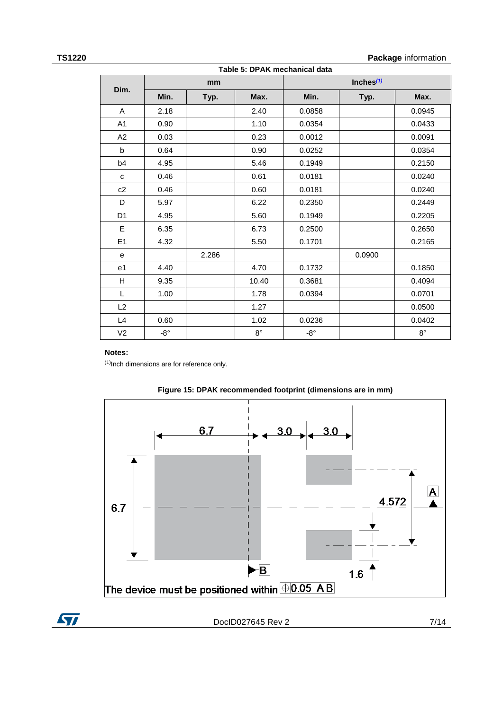### **Table 5: DPAK mechanical data**

**TS1220 Package** information

|                | rabic J. Dr AR mechanical data<br>Inches $(1)$<br>mm |       |             |              |        |             |
|----------------|------------------------------------------------------|-------|-------------|--------------|--------|-------------|
| Dim.           | Min.                                                 | Typ.  | Max.        | Min.         | Typ.   | Max.        |
| A              | 2.18                                                 |       | 2.40        | 0.0858       |        | 0.0945      |
| A1             | 0.90                                                 |       | 1.10        | 0.0354       |        | 0.0433      |
| A2             | 0.03                                                 |       | 0.23        | 0.0012       |        | 0.0091      |
| $\mathbf b$    | 0.64                                                 |       | 0.90        | 0.0252       |        | 0.0354      |
| b4             | 4.95                                                 |       | 5.46        | 0.1949       |        | 0.2150      |
| C              | 0.46                                                 |       | 0.61        | 0.0181       |        | 0.0240      |
| c2             | 0.46                                                 |       | 0.60        | 0.0181       |        | 0.0240      |
| D              | 5.97                                                 |       | 6.22        | 0.2350       |        | 0.2449      |
| D <sub>1</sub> | 4.95                                                 |       | 5.60        | 0.1949       |        | 0.2205      |
| E              | 6.35                                                 |       | 6.73        | 0.2500       |        | 0.2650      |
| E <sub>1</sub> | 4.32                                                 |       | 5.50        | 0.1701       |        | 0.2165      |
| e              |                                                      | 2.286 |             |              | 0.0900 |             |
| e <sub>1</sub> | 4.40                                                 |       | 4.70        | 0.1732       |        | 0.1850      |
| H              | 9.35                                                 |       | 10.40       | 0.3681       |        | 0.4094      |
| L              | 1.00                                                 |       | 1.78        | 0.0394       |        | 0.0701      |
| L2             |                                                      |       | 1.27        |              |        | 0.0500      |
| L4             | 0.60                                                 |       | 1.02        | 0.0236       |        | 0.0402      |
| V <sub>2</sub> | $-8^\circ$                                           |       | $8^{\circ}$ | $-8^{\circ}$ |        | $8^{\circ}$ |

#### **Notes:**

<span id="page-6-0"></span> $(1)$ Inch dimensions are for reference only.





ST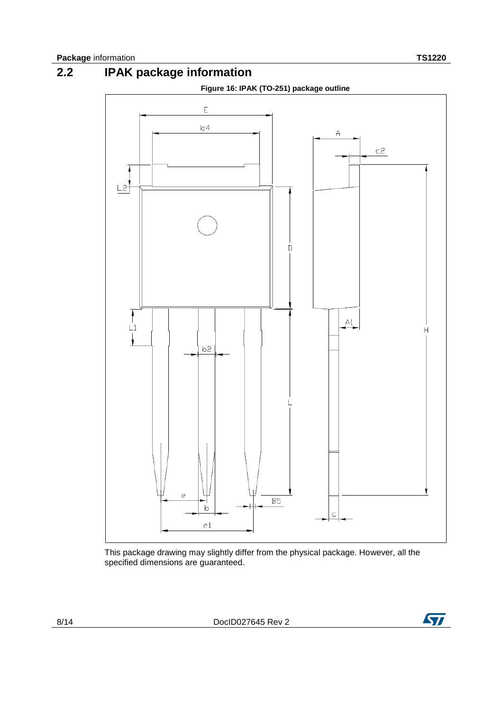

This package drawing may slightly differ from the physical package. However, all the specified dimensions are guaranteed.

8/14 DocID027645 Rev 2

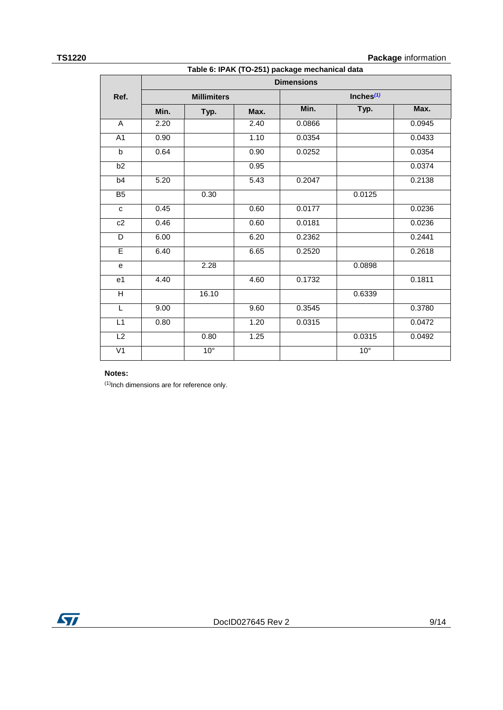### **TS1220 Package** information

|                 | Table 6: IPAK (TO-251) package mechanical data |                    |      |                   |              |        |
|-----------------|------------------------------------------------|--------------------|------|-------------------|--------------|--------|
|                 |                                                |                    |      | <b>Dimensions</b> |              |        |
| Ref.            |                                                | <b>Millimiters</b> |      |                   | Inches $(1)$ |        |
|                 | Min.                                           | Typ.               | Max. | Min.              | Typ.         | Max.   |
| A               | 2.20                                           |                    | 2.40 | 0.0866            |              | 0.0945 |
| A <sub>1</sub>  | 0.90                                           |                    | 1.10 | 0.0354            |              | 0.0433 |
| $\mathbf b$     | 0.64                                           |                    | 0.90 | 0.0252            |              | 0.0354 |
| b2              |                                                |                    | 0.95 |                   |              | 0.0374 |
| b4              | 5.20                                           |                    | 5.43 | 0.2047            |              | 0.2138 |
| B <sub>5</sub>  |                                                | 0.30               |      |                   | 0.0125       |        |
| $\mathbf{C}$    | 0.45                                           |                    | 0.60 | 0.0177            |              | 0.0236 |
| c2              | 0.46                                           |                    | 0.60 | 0.0181            |              | 0.0236 |
| D               | 6.00                                           |                    | 6.20 | 0.2362            |              | 0.2441 |
| E               | 6.40                                           |                    | 6.65 | 0.2520            |              | 0.2618 |
| e               |                                                | 2.28               |      |                   | 0.0898       |        |
| e <sub>1</sub>  | 4.40                                           |                    | 4.60 | 0.1732            |              | 0.1811 |
| $\overline{H}$  |                                                | 16.10              |      |                   | 0.6339       |        |
| L               | 9.00                                           |                    | 9.60 | 0.3545            |              | 0.3780 |
| $\overline{L1}$ | 0.80                                           |                    | 1.20 | 0.0315            |              | 0.0472 |
| L2              |                                                | 0.80               | 1.25 |                   | 0.0315       | 0.0492 |
| $\overline{V}$  |                                                | 10 <sup>°</sup>    |      |                   | $10^{\circ}$ |        |

### **Notes:**

<span id="page-8-0"></span> $(1)$ Inch dimensions are for reference only.

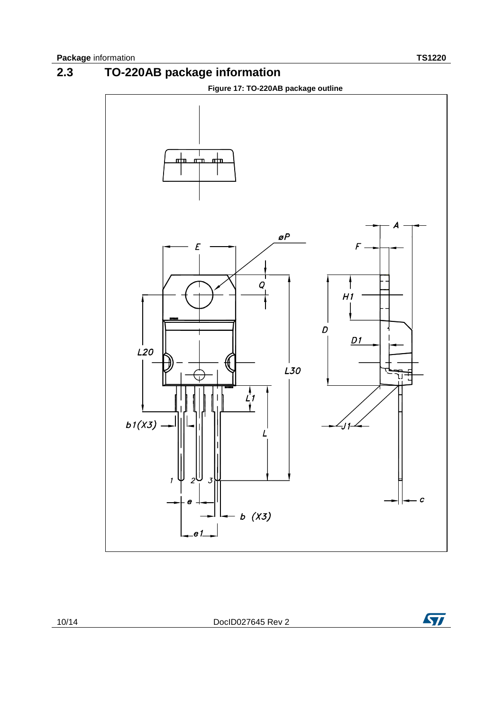

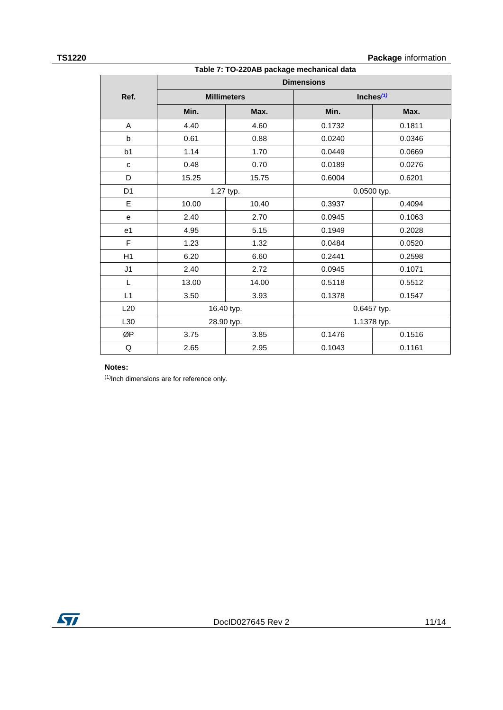#### **TS1220 Package** information

| Table 7: TO-220AB package mechanical data |            |                    |                   |              |
|-------------------------------------------|------------|--------------------|-------------------|--------------|
|                                           |            |                    | <b>Dimensions</b> |              |
| Ref.                                      |            | <b>Millimeters</b> |                   | Inches $(1)$ |
|                                           | Min.       | Max.               | Min.              | Max.         |
| A                                         | 4.40       | 4.60               | 0.1732            | 0.1811       |
| b                                         | 0.61       | 0.88               | 0.0240            | 0.0346       |
| b <sub>1</sub>                            | 1.14       | 1.70               | 0.0449            | 0.0669       |
| $\mathbf{C}$                              | 0.48       | 0.70               | 0.0189            | 0.0276       |
| D                                         | 15.25      | 15.75              | 0.6004            | 0.6201       |
| D <sub>1</sub>                            |            | 1.27 typ.          |                   | 0.0500 typ.  |
| E                                         | 10.00      | 10.40              | 0.3937            | 0.4094       |
| e                                         | 2.40       | 2.70               | 0.0945            | 0.1063       |
| e <sub>1</sub>                            | 4.95       | 5.15               | 0.1949            | 0.2028       |
| F                                         | 1.23       | 1.32               | 0.0484            | 0.0520       |
| H1                                        | 6.20       | 6.60               | 0.2441            | 0.2598       |
| J <sub>1</sub>                            | 2.40       | 2.72               | 0.0945            | 0.1071       |
| L                                         | 13.00      | 14.00              | 0.5118            | 0.5512       |
| L1                                        | 3.50       | 3.93               | 0.1378            | 0.1547       |
| L20                                       | 16.40 typ. |                    | 0.6457 typ.       |              |
| L30                                       | 28.90 typ. |                    | 1.1378 typ.       |              |
| ØP                                        | 3.75       | 3.85               | 0.1476            | 0.1516       |
| Q                                         | 2.65       | 2.95               | 0.1043            | 0.1161       |

#### **Notes:**

<span id="page-10-0"></span> $(1)$ Inch dimensions are for reference only.

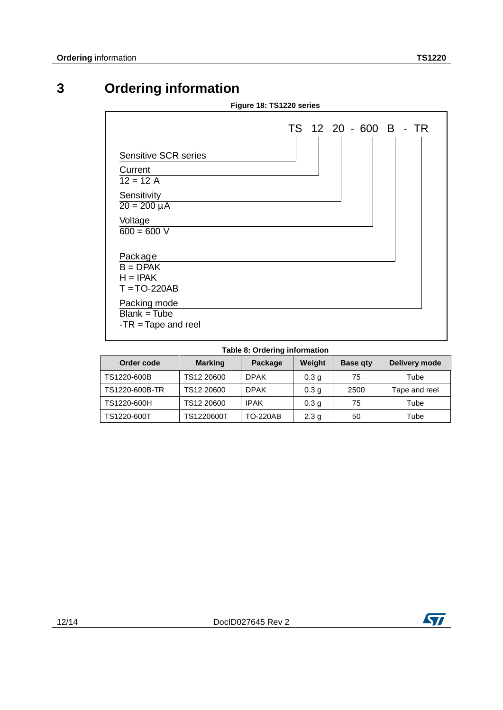### **3 Ordering information**

| Figure 18: TS1220 series                                                                                             |                       |
|----------------------------------------------------------------------------------------------------------------------|-----------------------|
| <b>Sensitive SCR series</b><br>Current<br>$12 = 12 A$<br>Sensitivity<br>$20 = 200 \mu A$<br>Voltage<br>$600 = 600 V$ | TS 12 20 - 600 B - TR |
| Package<br>$B = DPAK$<br>$H = IPAK$<br>$T = TO-220AB$<br>Packing mode<br>$Blank = Tube$<br>$-TR = Tape$ and reel     |                       |

### **Table 8: Ordering information**

| Order code     | <b>Marking</b> | Package         | Weight           | <b>Base gty</b> | Delivery mode |
|----------------|----------------|-----------------|------------------|-----------------|---------------|
| TS1220-600B    | TS12 20600     | <b>DPAK</b>     | 0.3 <sub>q</sub> | 75              | Tube          |
| TS1220-600B-TR | TS12 20600     | <b>DPAK</b>     | 0.3 <sub>q</sub> | 2500            | Tape and reel |
| TS1220-600H    | TS12 20600     | <b>IPAK</b>     | 0.3 <sub>q</sub> | 75              | Tube          |
| TS1220-600T    | TS1220600T     | <b>TO-220AB</b> | 2.3 <sub>g</sub> | 50              | Tube          |

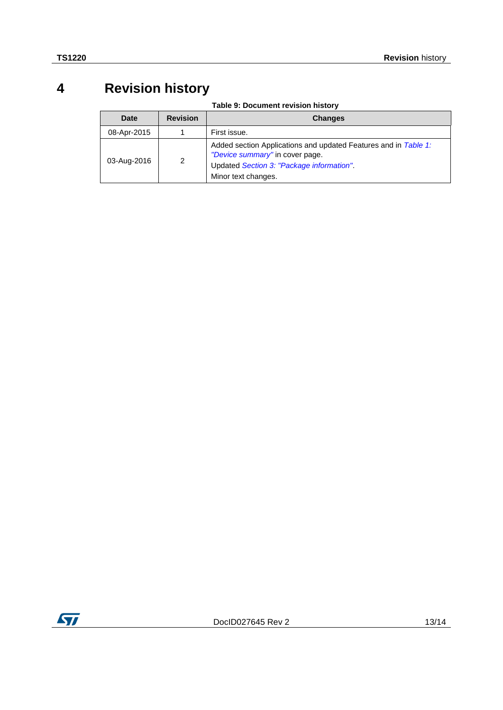### **4 Revision history**

**Table 9: Document revision history**

| Date        | <b>Revision</b> | <b>Changes</b>                                                                                                                                                         |
|-------------|-----------------|------------------------------------------------------------------------------------------------------------------------------------------------------------------------|
| 08-Apr-2015 |                 | First issue.                                                                                                                                                           |
| 03-Aug-2016 | 2               | Added section Applications and updated Features and in Table 1:<br>"Device summary" in cover page.<br>Updated Section 3: "Package information".<br>Minor text changes. |